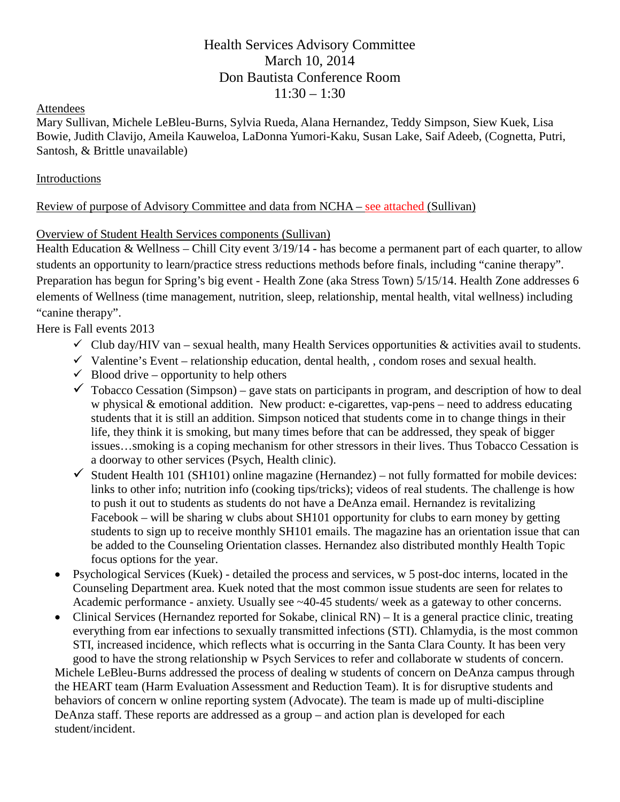# Health Services Advisory Committee March 10, 2014 Don Bautista Conference Room  $11:30 - 1:30$

#### Attendees

Mary Sullivan, Michele LeBleu-Burns, Sylvia Rueda, Alana Hernandez, Teddy Simpson, Siew Kuek, Lisa Bowie, Judith Clavijo, Ameila Kauweloa, LaDonna Yumori-Kaku, Susan Lake, Saif Adeeb, (Cognetta, Putri, Santosh, & Brittle unavailable)

### Introductions

## Review of purpose of Advisory Committee and data from NCHA – see attached (Sullivan)

## Overview of Student Health Services components (Sullivan)

Health Education & Wellness – Chill City event 3/19/14 - has become a permanent part of each quarter, to allow students an opportunity to learn/practice stress reductions methods before finals, including "canine therapy". Preparation has begun for Spring's big event - Health Zone (aka Stress Town) 5/15/14. Health Zone addresses 6 elements of Wellness (time management, nutrition, sleep, relationship, mental health, vital wellness) including "canine therapy".

Here is Fall events 2013

- $\checkmark$  Club day/HIV van sexual health, many Health Services opportunities & activities avail to students.
- $\checkmark$  Valentine's Event relationship education, dental health, , condom roses and sexual health.
- $\checkmark$  Blood drive opportunity to help others
- $\checkmark$  Tobacco Cessation (Simpson) gave stats on participants in program, and description of how to deal w physical & emotional addition. New product: e-cigarettes, vap-pens – need to address educating students that it is still an addition. Simpson noticed that students come in to change things in their life, they think it is smoking, but many times before that can be addressed, they speak of bigger issues…smoking is a coping mechanism for other stressors in their lives. Thus Tobacco Cessation is a doorway to other services (Psych, Health clinic).
- $\checkmark$  Student Health 101 (SH101) online magazine (Hernandez) not fully formatted for mobile devices: links to other info; nutrition info (cooking tips/tricks); videos of real students. The challenge is how to push it out to students as students do not have a DeAnza email. Hernandez is revitalizing Facebook – will be sharing w clubs about SH101 opportunity for clubs to earn money by getting students to sign up to receive monthly SH101 emails. The magazine has an orientation issue that can be added to the Counseling Orientation classes. Hernandez also distributed monthly Health Topic focus options for the year.
- Psychological Services (Kuek) detailed the process and services, w 5 post-doc interns, located in the Counseling Department area. Kuek noted that the most common issue students are seen for relates to Academic performance - anxiety. Usually see ~40-45 students/ week as a gateway to other concerns.
- Clinical Services (Hernandez reported for Sokabe, clinical RN) It is a general practice clinic, treating everything from ear infections to sexually transmitted infections (STI). Chlamydia, is the most common STI, increased incidence, which reflects what is occurring in the Santa Clara County. It has been very good to have the strong relationship w Psych Services to refer and collaborate w students of concern.

Michele LeBleu-Burns addressed the process of dealing w students of concern on DeAnza campus through the HEART team (Harm Evaluation Assessment and Reduction Team). It is for disruptive students and behaviors of concern w online reporting system (Advocate). The team is made up of multi-discipline DeAnza staff. These reports are addressed as a group – and action plan is developed for each student/incident.